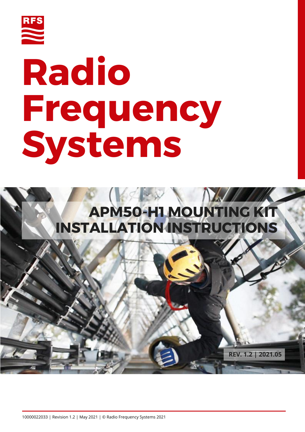

# **Radio Frequency Systems**



**REV. 1.2 | 2021.05**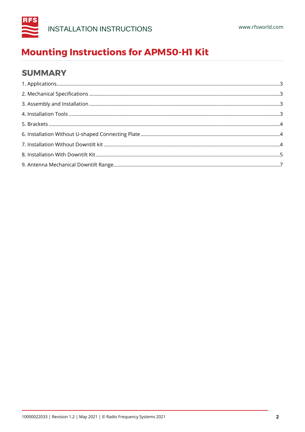

# **SUMMARY**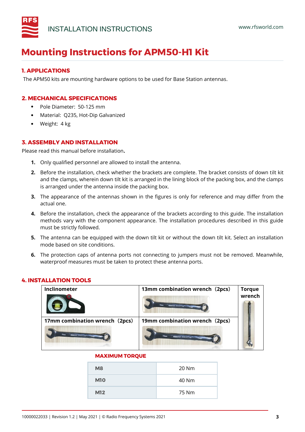

# <span id="page-2-0"></span>**1. APPLICATIONS**

The APM50 kits are mounting hardware options to be used for Base Station antennas.

# <span id="page-2-1"></span>**2. MECHANICAL SPECIFICATIONS**

- Pole Diameter: 50-125 mm
- Material: Q235, Hot-Dip Galvanized
- Weight: 4 kg

# <span id="page-2-2"></span>**3. ASSEMBLY AND INSTALLATION**

Please read this manual before installation**.**

- **1.** Only qualified personnel are allowed to install the antenna.
- **2.** Before the installation, check whether the brackets are complete. The bracket consists of down tilt kit and the clamps, wherein down tilt kit is arranged in the lining block of the packing box, and the clamps is arranged under the antenna inside the packing box.
- **3.** The appearance of the antennas shown in the figures is only for reference and may differ from the actual one.
- **4.** Before the installation, check the appearance of the brackets according to this guide. The installation methods vary with the component appearance. The installation procedures described in this guide must be strictly followed.
- **5.** The antenna can be equipped with the down tilt kit or without the down tilt kit. Select an installation mode based on site conditions.
- **6.** The protection caps of antenna ports not connecting to jumpers must not be removed. Meanwhile, waterproof measures must be taken to protect these antenna ports.

# **Inclinometer 13mm combination wrench**(**2pcs**) **Torque wrench 17mm combination wrench**(**2pcs**) **19mm combination wrench**(**2pcs**)

# <span id="page-2-3"></span>**4. INSTALLATION TOOLS**

# **MAXIMUM TORQUE**

| <b>M8</b>  | 20 Nm |
|------------|-------|
| <b>M10</b> | 40 Nm |
| <b>M12</b> | 75 Nm |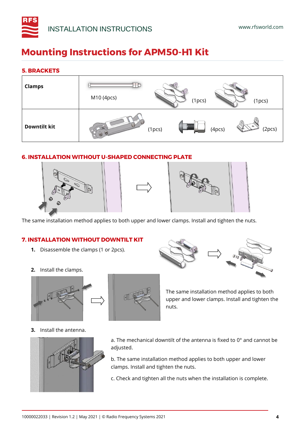

# <span id="page-3-0"></span>**5. BRACKETS**

| <b>Clamps</b>       | M10 (4pcs)<br>(1 <sub>pcs</sub> )<br>(1 <sub>pcs</sub> )           |
|---------------------|--------------------------------------------------------------------|
| <b>Downtilt kit</b> | $\bullet$<br>(2pcs)<br>(1pcs)<br>(4 <sub>pcs</sub> )<br>$\sqrt{2}$ |

# <span id="page-3-1"></span>**6. INSTALLATION WITHOUT U-SHAPED CONNECTING PLATE**





The same installation method applies to both upper and lower clamps. Install and tighten the nuts.

# <span id="page-3-2"></span>**7. INSTALLATION WITHOUT DOWNTILT KIT**

- **1.** Disassemble the clamps (1 or 2pcs).
- **2.** Install the clamps.



**3.** Install the antenna.







The same installation method applies to both upper and lower clamps. Install and tighten the nuts.

a. The mechanical downtilt of the antenna is fixed to  $0^{\circ}$  and cannot be adjusted.

b. The same installation method applies to both upper and lower clamps. Install and tighten the nuts.

c. Check and tighten all the nuts when the installation is complete.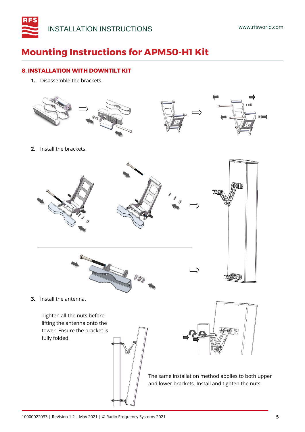

# <span id="page-4-0"></span>**8. INSTALLATION WITH DOWNTILT KIT**

**1.** Disassemble the brackets.

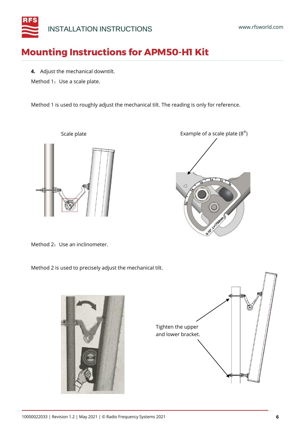

- **4.** Adjust the mechanical downtilt.
- Method 1: Use a scale plate.

Method 1 is used to roughly adjust the mechanical tilt. The reading is only for reference.





Method 2: Use an inclinometer.

Method 2 is used to precisely adjust the mechanical tilt.

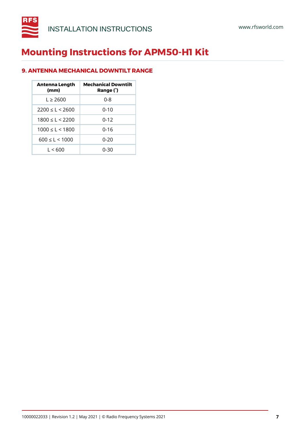

# <span id="page-6-0"></span>**9. ANTENNA MECHANICAL DOWNTILT RANGE**

| Antenna Length<br>(mm)  | <b>Mechanical Downtilt</b><br>Range (°) |
|-------------------------|-----------------------------------------|
| $1 \geq 2600$           | 0-8                                     |
| $2200 \leq l \leq 2600$ | $0 - 10$                                |
| $1800 \leq l \leq 2200$ | $0 - 12$                                |
| $1000 \leq l \leq 1800$ | 0-16                                    |
| $600 \leq l \leq 1000$  | $0 - 20$                                |
| 1 < 600                 | 0-30                                    |